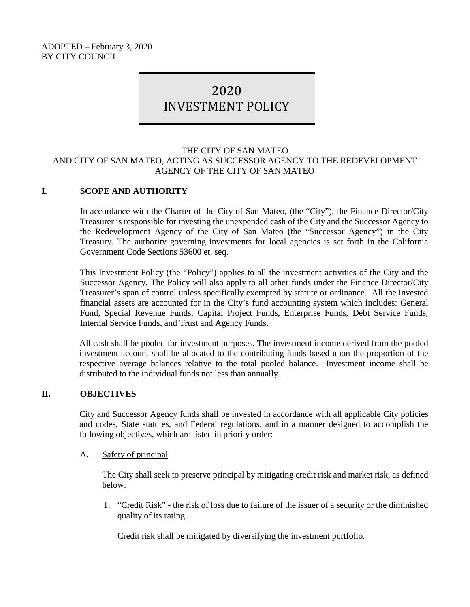#### ADOPTED – February 3, 2020 BY CITY COUNCIL

# 2020 INVESTMENT POLICY

#### THE CITY OF SAN MATEO AND CITY OF SAN MATEO, ACTING AS SUCCESSOR AGENCY TO THE REDEVELOPMENT AGENCY OF THE CITY OF SAN MATEO

# **I. SCOPE AND AUTHORITY**

In accordance with the Charter of the City of San Mateo, (the "City"), the Finance Director/City Treasurer is responsible for investing the unexpended cash of the City and the Successor Agency to the Redevelopment Agency of the City of San Mateo (the "Successor Agency") in the City Treasury. The authority governing investments for local agencies is set forth in the California Government Code Sections 53600 et. seq.

This Investment Policy (the "Policy") applies to all the investment activities of the City and the Successor Agency. The Policy will also apply to all other funds under the Finance Director/City Treasurer's span of control unless specifically exempted by statute or ordinance. All the invested financial assets are accounted for in the City's fund accounting system which includes: General Fund, Special Revenue Funds, Capital Project Funds, Enterprise Funds, Debt Service Funds, Internal Service Funds, and Trust and Agency Funds.

All cash shall be pooled for investment purposes. The investment income derived from the pooled investment account shall be allocated to the contributing funds based upon the proportion of the respective average balances relative to the total pooled balance. Investment income shall be distributed to the individual funds not less than annually.

#### **II. OBJECTIVES**

City and Successor Agency funds shall be invested in accordance with all applicable City policies and codes, State statutes, and Federal regulations, and in a manner designed to accomplish the following objectives, which are listed in priority order:

#### A. Safety of principal

The City shall seek to preserve principal by mitigating credit risk and market risk, as defined below:

1. "Credit Risk" - the risk of loss due to failure of the issuer of a security or the diminished quality of its rating.

Credit risk shall be mitigated by diversifying the investment portfolio.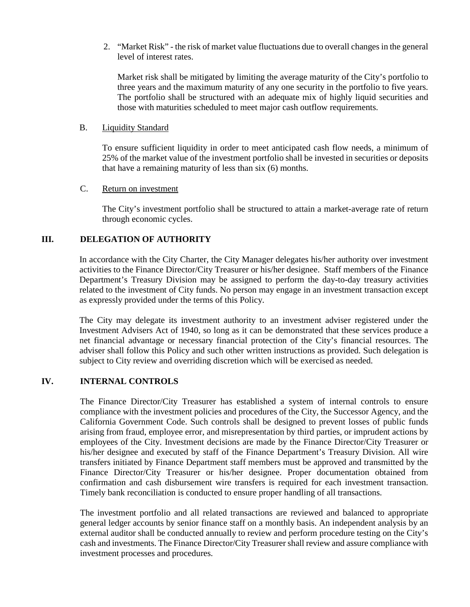2. "Market Risk" - the risk of market value fluctuations due to overall changes in the general level of interest rates.

Market risk shall be mitigated by limiting the average maturity of the City's portfolio to three years and the maximum maturity of any one security in the portfolio to five years. The portfolio shall be structured with an adequate mix of highly liquid securities and those with maturities scheduled to meet major cash outflow requirements.

#### B. Liquidity Standard

To ensure sufficient liquidity in order to meet anticipated cash flow needs, a minimum of 25% of the market value of the investment portfolio shall be invested in securities or deposits that have a remaining maturity of less than six (6) months.

#### C. Return on investment

The City's investment portfolio shall be structured to attain a market-average rate of return through economic cycles.

# **III. DELEGATION OF AUTHORITY**

In accordance with the City Charter, the City Manager delegates his/her authority over investment activities to the Finance Director/City Treasurer or his/her designee. Staff members of the Finance Department's Treasury Division may be assigned to perform the day-to-day treasury activities related to the investment of City funds. No person may engage in an investment transaction except as expressly provided under the terms of this Policy.

The City may delegate its investment authority to an investment adviser registered under the Investment Advisers Act of 1940, so long as it can be demonstrated that these services produce a net financial advantage or necessary financial protection of the City's financial resources. The adviser shall follow this Policy and such other written instructions as provided. Such delegation is subject to City review and overriding discretion which will be exercised as needed.

# **IV. INTERNAL CONTROLS**

The Finance Director/City Treasurer has established a system of internal controls to ensure compliance with the investment policies and procedures of the City, the Successor Agency, and the California Government Code. Such controls shall be designed to prevent losses of public funds arising from fraud, employee error, and misrepresentation by third parties, or imprudent actions by employees of the City. Investment decisions are made by the Finance Director/City Treasurer or his/her designee and executed by staff of the Finance Department's Treasury Division. All wire transfers initiated by Finance Department staff members must be approved and transmitted by the Finance Director/City Treasurer or his/her designee. Proper documentation obtained from confirmation and cash disbursement wire transfers is required for each investment transaction. Timely bank reconciliation is conducted to ensure proper handling of all transactions.

The investment portfolio and all related transactions are reviewed and balanced to appropriate general ledger accounts by senior finance staff on a monthly basis. An independent analysis by an external auditor shall be conducted annually to review and perform procedure testing on the City's cash and investments. The Finance Director/City Treasurer shall review and assure compliance with investment processes and procedures.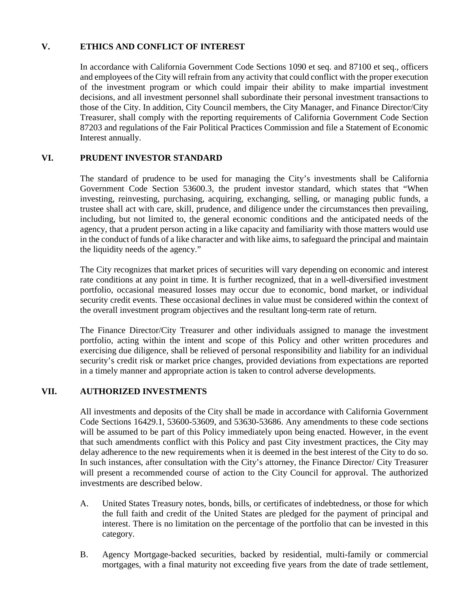# **V. ETHICS AND CONFLICT OF INTEREST**

In accordance with California Government Code Sections 1090 et seq. and 87100 et seq., officers and employees of the City will refrain from any activity that could conflict with the proper execution of the investment program or which could impair their ability to make impartial investment decisions, and all investment personnel shall subordinate their personal investment transactions to those of the City. In addition, City Council members, the City Manager, and Finance Director/City Treasurer, shall comply with the reporting requirements of California Government Code Section 87203 and regulations of the Fair Political Practices Commission and file a Statement of Economic Interest annually.

# **VI. PRUDENT INVESTOR STANDARD**

The standard of prudence to be used for managing the City's investments shall be California Government Code Section 53600.3, the prudent investor standard, which states that "When investing, reinvesting, purchasing, acquiring, exchanging, selling, or managing public funds, a trustee shall act with care, skill, prudence, and diligence under the circumstances then prevailing, including, but not limited to, the general economic conditions and the anticipated needs of the agency, that a prudent person acting in a like capacity and familiarity with those matters would use in the conduct of funds of a like character and with like aims, to safeguard the principal and maintain the liquidity needs of the agency."

The City recognizes that market prices of securities will vary depending on economic and interest rate conditions at any point in time. It is further recognized, that in a well-diversified investment portfolio, occasional measured losses may occur due to economic, bond market, or individual security credit events. These occasional declines in value must be considered within the context of the overall investment program objectives and the resultant long-term rate of return.

The Finance Director/City Treasurer and other individuals assigned to manage the investment portfolio, acting within the intent and scope of this Policy and other written procedures and exercising due diligence, shall be relieved of personal responsibility and liability for an individual security's credit risk or market price changes, provided deviations from expectations are reported in a timely manner and appropriate action is taken to control adverse developments.

# **VII. AUTHORIZED INVESTMENTS**

All investments and deposits of the City shall be made in accordance with California Government Code Sections 16429.1, 53600-53609, and 53630-53686. Any amendments to these code sections will be assumed to be part of this Policy immediately upon being enacted. However, in the event that such amendments conflict with this Policy and past City investment practices, the City may delay adherence to the new requirements when it is deemed in the best interest of the City to do so. In such instances, after consultation with the City's attorney, the Finance Director/ City Treasurer will present a recommended course of action to the City Council for approval. The authorized investments are described below.

- A. United States Treasury notes, bonds, bills, or certificates of indebtedness, or those for which the full faith and credit of the United States are pledged for the payment of principal and interest. There is no limitation on the percentage of the portfolio that can be invested in this category.
- B. Agency Mortgage-backed securities, backed by residential, multi-family or commercial mortgages, with a final maturity not exceeding five years from the date of trade settlement,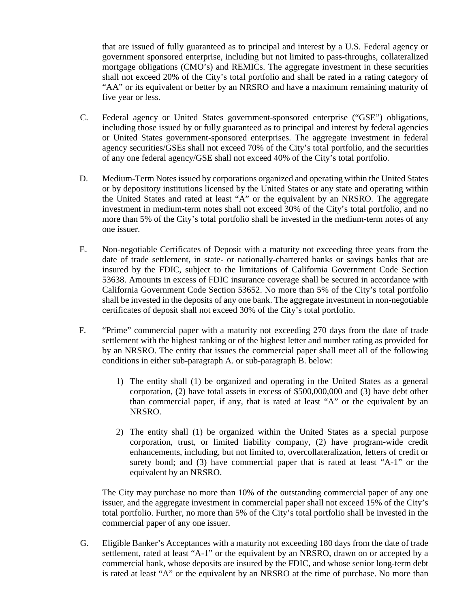that are issued of fully guaranteed as to principal and interest by a U.S. Federal agency or government sponsored enterprise, including but not limited to pass-throughs, collateralized mortgage obligations (CMO's) and REMICs. The aggregate investment in these securities shall not exceed 20% of the City's total portfolio and shall be rated in a rating category of "AA" or its equivalent or better by an NRSRO and have a maximum remaining maturity of five year or less.

- C. Federal agency or United States government-sponsored enterprise ("GSE") obligations, including those issued by or fully guaranteed as to principal and interest by federal agencies or United States government-sponsored enterprises. The aggregate investment in federal agency securities/GSEs shall not exceed 70% of the City's total portfolio, and the securities of any one federal agency/GSE shall not exceed 40% of the City's total portfolio.
- D. Medium-Term Notesissued by corporations organized and operating within the United States or by depository institutions licensed by the United States or any state and operating within the United States and rated at least "A" or the equivalent by an NRSRO. The aggregate investment in medium-term notes shall not exceed 30% of the City's total portfolio, and no more than 5% of the City's total portfolio shall be invested in the medium-term notes of any one issuer.
- E. Non-negotiable Certificates of Deposit with a maturity not exceeding three years from the date of trade settlement, in state- or nationally-chartered banks or savings banks that are insured by the FDIC, subject to the limitations of California Government Code Section 53638. Amounts in excess of FDIC insurance coverage shall be secured in accordance with California Government Code Section 53652. No more than 5% of the City's total portfolio shall be invested in the deposits of any one bank. The aggregate investment in non-negotiable certificates of deposit shall not exceed 30% of the City's total portfolio.
- F. "Prime" commercial paper with a maturity not exceeding 270 days from the date of trade settlement with the highest ranking or of the highest letter and number rating as provided for by an NRSRO. The entity that issues the commercial paper shall meet all of the following conditions in either sub-paragraph A. or sub-paragraph B. below:
	- 1) The entity shall (1) be organized and operating in the United States as a general corporation, (2) have total assets in excess of \$500,000,000 and (3) have debt other than commercial paper, if any, that is rated at least "A" or the equivalent by an NRSRO.
	- 2) The entity shall (1) be organized within the United States as a special purpose corporation, trust, or limited liability company, (2) have program-wide credit enhancements, including, but not limited to, overcollateralization, letters of credit or surety bond; and (3) have commercial paper that is rated at least "A-1" or the equivalent by an NRSRO.

The City may purchase no more than 10% of the outstanding commercial paper of any one issuer, and the aggregate investment in commercial paper shall not exceed 15% of the City's total portfolio. Further, no more than 5% of the City's total portfolio shall be invested in the commercial paper of any one issuer.

G. Eligible Banker's Acceptances with a maturity not exceeding 180 days from the date of trade settlement, rated at least "A-1" or the equivalent by an NRSRO, drawn on or accepted by a commercial bank, whose deposits are insured by the FDIC, and whose senior long-term debt is rated at least "A" or the equivalent by an NRSRO at the time of purchase. No more than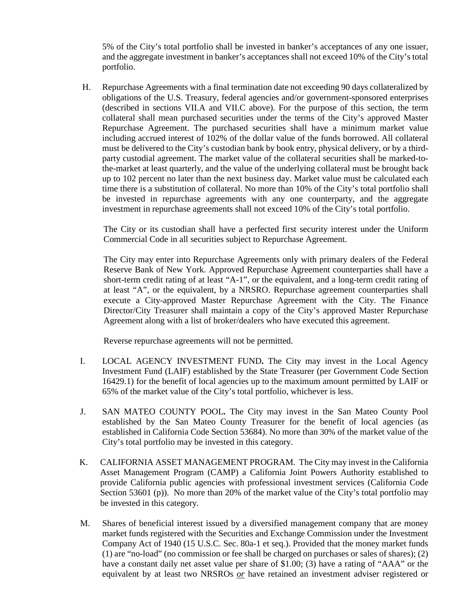5% of the City's total portfolio shall be invested in banker's acceptances of any one issuer, and the aggregate investment in banker's acceptances shall not exceed 10% of the City's total portfolio.

 H. Repurchase Agreements with a final termination date not exceeding 90 days collateralized by obligations of the U.S. Treasury, federal agencies and/or government-sponsored enterprises (described in sections VII.A and VII.C above). For the purpose of this section, the term collateral shall mean purchased securities under the terms of the City's approved Master Repurchase Agreement. The purchased securities shall have a minimum market value including accrued interest of 102% of the dollar value of the funds borrowed. All collateral must be delivered to the City's custodian bank by book entry, physical delivery, or by a thirdparty custodial agreement. The market value of the collateral securities shall be marked-tothe-market at least quarterly, and the value of the underlying collateral must be brought back up to 102 percent no later than the next business day. Market value must be calculated each time there is a substitution of collateral. No more than 10% of the City's total portfolio shall be invested in repurchase agreements with any one counterparty, and the aggregate investment in repurchase agreements shall not exceed 10% of the City's total portfolio.

The City or its custodian shall have a perfected first security interest under the Uniform Commercial Code in all securities subject to Repurchase Agreement.

The City may enter into Repurchase Agreements only with primary dealers of the Federal Reserve Bank of New York. Approved Repurchase Agreement counterparties shall have a short-term credit rating of at least "A-1", or the equivalent, and a long-term credit rating of at least "A", or the equivalent, by a NRSRO. Repurchase agreement counterparties shall execute a City-approved Master Repurchase Agreement with the City. The Finance Director/City Treasurer shall maintain a copy of the City's approved Master Repurchase Agreement along with a list of broker/dealers who have executed this agreement.

Reverse repurchase agreements will not be permitted.

- I. LOCAL AGENCY INVESTMENT FUND**.** The City may invest in the Local Agency Investment Fund (LAIF) established by the State Treasurer (per Government Code Section 16429.1) for the benefit of local agencies up to the maximum amount permitted by LAIF or 65% of the market value of the City's total portfolio, whichever is less.
- J. SAN MATEO COUNTY POOL**.** The City may invest in the San Mateo County Pool established by the San Mateo County Treasurer for the benefit of local agencies (as established in California Code Section 53684). No more than 30% of the market value of the City's total portfolio may be invested in this category.
- K. CALIFORNIA ASSET MANAGEMENT PROGRAM. The City may invest in the California Asset Management Program (CAMP) a California Joint Powers Authority established to provide California public agencies with professional investment services (California Code Section 53601 (p)). No more than 20% of the market value of the City's total portfolio may be invested in this category.
- M. Shares of beneficial interest issued by a diversified management company that are money market funds registered with the Securities and Exchange Commission under the Investment Company Act of 1940 (15 U.S.C. Sec. 80a-1 et seq.). Provided that the money market funds (1) are "no-load" (no commission or fee shall be charged on purchases or sales of shares); (2) have a constant daily net asset value per share of \$1.00; (3) have a rating of "AAA" or the equivalent by at least two NRSROs *or* have retained an investment adviser registered or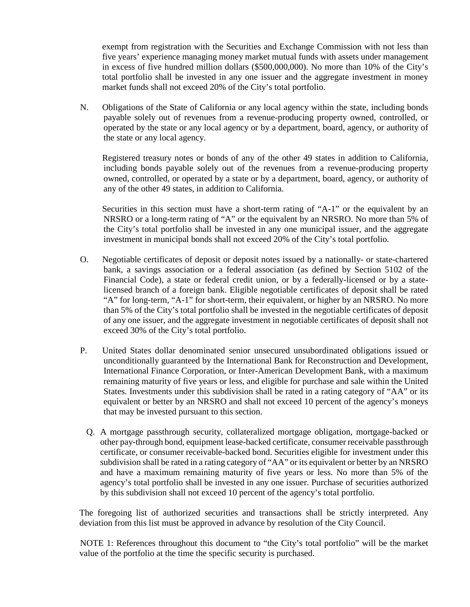exempt from registration with the Securities and Exchange Commission with not less than five years' experience managing money market mutual funds with assets under management in excess of five hundred million dollars (\$500,000,000). No more than 10% of the City's total portfolio shall be invested in any one issuer and the aggregate investment in money market funds shall not exceed 20% of the City's total portfolio.

N. Obligations of the State of California or any local agency within the state, including bonds payable solely out of revenues from a revenue-producing property owned, controlled, or operated by the state or any local agency or by a department, board, agency, or authority of the state or any local agency.

Registered treasury notes or bonds of any of the other 49 states in addition to California, including bonds payable solely out of the revenues from a revenue-producing property owned, controlled, or operated by a state or by a department, board, agency, or authority of any of the other 49 states, in addition to California.

Securities in this section must have a short-term rating of "A-1" or the equivalent by an NRSRO or a long-term rating of "A" or the equivalent by an NRSRO. No more than 5% of the City's total portfolio shall be invested in any one municipal issuer, and the aggregate investment in municipal bonds shall not exceed 20% of the City's total portfolio.

- O. Negotiable certificates of deposit or deposit notes issued by a nationally- or state-chartered bank, a savings association or a federal association (as defined by Section 5102 of the Financial Code), a state or federal credit union, or by a federally-licensed or by a statelicensed branch of a foreign bank. Eligible negotiable certificates of deposit shall be rated "A" for long-term, "A-1" for short-term, their equivalent, or higher by an NRSRO. No more than 5% of the City's total portfolio shall be invested in the negotiable certificates of deposit of any one issuer, and the aggregate investment in negotiable certificates of deposit shall not exceed 30% of the City's total portfolio.
- P. United States dollar denominated senior unsecured unsubordinated obligations issued or unconditionally guaranteed by the International Bank for Reconstruction and Development, International Finance Corporation, or Inter-American Development Bank, with a maximum remaining maturity of five years or less, and eligible for purchase and sale within the United States. Investments under this subdivision shall be rated in a rating category of "AA" or its equivalent or better by an NRSRO and shall not exceed 10 percent of the agency's moneys that may be invested pursuant to this section.
	- Q. A mortgage passthrough security, collateralized mortgage obligation, mortgage-backed or other pay-through bond, equipment lease-backed certificate, consumer receivable passthrough certificate, or consumer receivable-backed bond. Securities eligible for investment under this subdivision shall be rated in a rating category of "AA" or its equivalent or better by an NRSRO and have a maximum remaining maturity of five years or less. No more than 5% of the agency's total portfolio shall be invested in any one issuer. Purchase of securities authorized by this subdivision shall not exceed 10 percent of the agency's total portfolio.

The foregoing list of authorized securities and transactions shall be strictly interpreted. Any deviation from this list must be approved in advance by resolution of the City Council.

NOTE 1: References throughout this document to "the City's total portfolio" will be the market value of the portfolio at the time the specific security is purchased.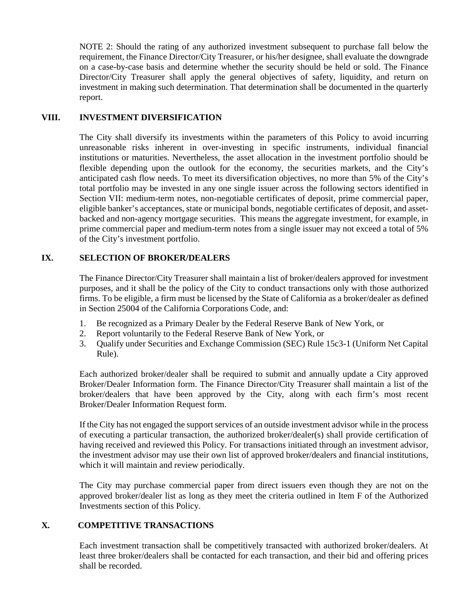NOTE 2: Should the rating of any authorized investment subsequent to purchase fall below the requirement, the Finance Director/City Treasurer, or his/her designee, shall evaluate the downgrade on a case-by-case basis and determine whether the security should be held or sold. The Finance Director/City Treasurer shall apply the general objectives of safety, liquidity, and return on investment in making such determination. That determination shall be documented in the quarterly report.

# **VIII. INVESTMENT DIVERSIFICATION**

The City shall diversify its investments within the parameters of this Policy to avoid incurring unreasonable risks inherent in over-investing in specific instruments, individual financial institutions or maturities. Nevertheless, the asset allocation in the investment portfolio should be flexible depending upon the outlook for the economy, the securities markets, and the City's anticipated cash flow needs. To meet its diversification objectives, no more than 5% of the City's total portfolio may be invested in any one single issuer across the following sectors identified in Section VII: medium-term notes, non-negotiable certificates of deposit, prime commercial paper, eligible banker's acceptances, state or municipal bonds, negotiable certificates of deposit, and assetbacked and non-agency mortgage securities. This means the aggregate investment, for example, in prime commercial paper and medium-term notes from a single issuer may not exceed a total of 5% of the City's investment portfolio.

# **IX. SELECTION OF BROKER/DEALERS**

The Finance Director/City Treasurer shall maintain a list of broker/dealers approved for investment purposes, and it shall be the policy of the City to conduct transactions only with those authorized firms. To be eligible, a firm must be licensed by the State of California as a broker/dealer as defined in Section 25004 of the California Corporations Code, and:

- 1. Be recognized as a Primary Dealer by the Federal Reserve Bank of New York, or
- 2. Report voluntarily to the Federal Reserve Bank of New York, or
- 3. Qualify under Securities and Exchange Commission (SEC) Rule 15c3-1 (Uniform Net Capital Rule).

Each authorized broker/dealer shall be required to submit and annually update a City approved Broker/Dealer Information form. The Finance Director/City Treasurer shall maintain a list of the broker/dealers that have been approved by the City, along with each firm's most recent Broker/Dealer Information Request form.

If the City has not engaged the support services of an outside investment advisor while in the process of executing a particular transaction, the authorized broker/dealer(s) shall provide certification of having received and reviewed this Policy. For transactions initiated through an investment advisor, the investment advisor may use their own list of approved broker/dealers and financial institutions, which it will maintain and review periodically.

The City may purchase commercial paper from direct issuers even though they are not on the approved broker/dealer list as long as they meet the criteria outlined in Item F of the Authorized Investments section of this Policy.

# **X. COMPETITIVE TRANSACTIONS**

Each investment transaction shall be competitively transacted with authorized broker/dealers. At least three broker/dealers shall be contacted for each transaction, and their bid and offering prices shall be recorded.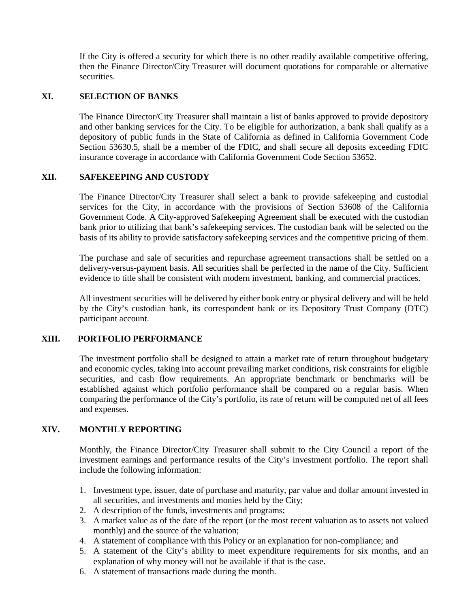If the City is offered a security for which there is no other readily available competitive offering, then the Finance Director/City Treasurer will document quotations for comparable or alternative securities.

# **XI. SELECTION OF BANKS**

The Finance Director/City Treasurer shall maintain a list of banks approved to provide depository and other banking services for the City. To be eligible for authorization, a bank shall qualify as a depository of public funds in the State of California as defined in California Government Code Section 53630.5, shall be a member of the FDIC, and shall secure all deposits exceeding FDIC insurance coverage in accordance with California Government Code Section 53652.

#### **XII. SAFEKEEPING AND CUSTODY**

The Finance Director/City Treasurer shall select a bank to provide safekeeping and custodial services for the City, in accordance with the provisions of Section 53608 of the California Government Code. A City-approved Safekeeping Agreement shall be executed with the custodian bank prior to utilizing that bank's safekeeping services. The custodian bank will be selected on the basis of its ability to provide satisfactory safekeeping services and the competitive pricing of them.

The purchase and sale of securities and repurchase agreement transactions shall be settled on a delivery-versus-payment basis. All securities shall be perfected in the name of the City. Sufficient evidence to title shall be consistent with modern investment, banking, and commercial practices.

All investment securities will be delivered by either book entry or physical delivery and will be held by the City's custodian bank, its correspondent bank or its Depository Trust Company (DTC) participant account.

# **XIII. PORTFOLIO PERFORMANCE**

The investment portfolio shall be designed to attain a market rate of return throughout budgetary and economic cycles, taking into account prevailing market conditions, risk constraints for eligible securities, and cash flow requirements. An appropriate benchmark or benchmarks will be established against which portfolio performance shall be compared on a regular basis. When comparing the performance of the City's portfolio, its rate of return will be computed net of all fees and expenses.

# **XIV. MONTHLY REPORTING**

Monthly, the Finance Director/City Treasurer shall submit to the City Council a report of the investment earnings and performance results of the City's investment portfolio. The report shall include the following information:

- 1. Investment type, issuer, date of purchase and maturity, par value and dollar amount invested in all securities, and investments and monies held by the City;
- 2. A description of the funds, investments and programs;
- 3. A market value as of the date of the report (or the most recent valuation as to assets not valued monthly) and the source of the valuation;
- 4. A statement of compliance with this Policy or an explanation for non-compliance; and
- 5. A statement of the City's ability to meet expenditure requirements for six months, and an explanation of why money will not be available if that is the case.
- 6. A statement of transactions made during the month.